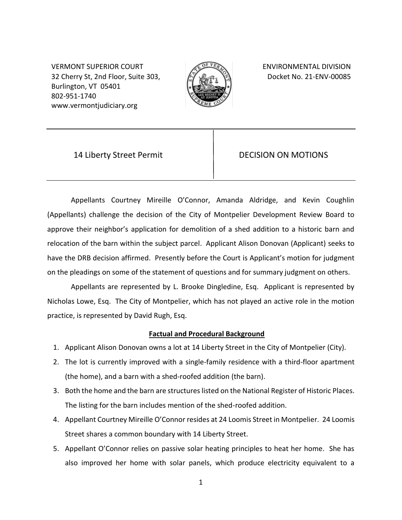VERMONT SUPERIOR COURT **ENVIRONMENTAL DIVISION** 32 Cherry St, 2nd Floor, Suite 303, Burlington, VT 05401 802-951-1740 www.vermontjudiciary.org



Docket No. 21-ENV-00085

14 Liberty Street Permit **DECISION ON MOTIONS** 

Appellants Courtney Mireille O'Connor, Amanda Aldridge, and Kevin Coughlin (Appellants) challenge the decision of the City of Montpelier Development Review Board to approve their neighbor's application for demolition of a shed addition to a historic barn and relocation of the barn within the subject parcel. Applicant Alison Donovan (Applicant) seeks to have the DRB decision affirmed. Presently before the Court is Applicant's motion for judgment on the pleadings on some of the statement of questions and for summary judgment on others.

Appellants are represented by L. Brooke Dingledine, Esq. Applicant is represented by Nicholas Lowe, Esq. The City of Montpelier, which has not played an active role in the motion practice, is represented by David Rugh, Esq.

# **Factual and Procedural Background**

- 1. Applicant Alison Donovan owns a lot at 14 Liberty Street in the City of Montpelier (City).
- 2. The lot is currently improved with a single-family residence with a third-floor apartment (the home), and a barn with a shed-roofed addition (the barn).
- 3. Both the home and the barn are structures listed on the National Register of Historic Places. The listing for the barn includes mention of the shed-roofed addition.
- 4. Appellant Courtney Mireille O'Connor resides at 24 Loomis Street in Montpelier. 24 Loomis Street shares a common boundary with 14 Liberty Street.
- 5. Appellant O'Connor relies on passive solar heating principles to heat her home. She has also improved her home with solar panels, which produce electricity equivalent to a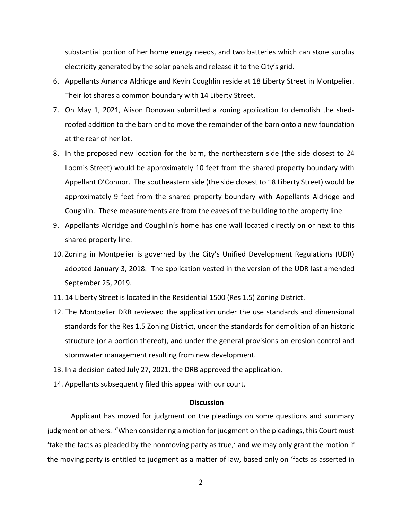substantial portion of her home energy needs, and two batteries which can store surplus electricity generated by the solar panels and release it to the City's grid.

- 6. Appellants Amanda Aldridge and Kevin Coughlin reside at 18 Liberty Street in Montpelier. Their lot shares a common boundary with 14 Liberty Street.
- 7. On May 1, 2021, Alison Donovan submitted a zoning application to demolish the shedroofed addition to the barn and to move the remainder of the barn onto a new foundation at the rear of her lot.
- 8. In the proposed new location for the barn, the northeastern side (the side closest to 24 Loomis Street) would be approximately 10 feet from the shared property boundary with Appellant O'Connor. The southeastern side (the side closest to 18 Liberty Street) would be approximately 9 feet from the shared property boundary with Appellants Aldridge and Coughlin. These measurements are from the eaves of the building to the property line.
- 9. Appellants Aldridge and Coughlin's home has one wall located directly on or next to this shared property line.
- 10. Zoning in Montpelier is governed by the City's Unified Development Regulations (UDR) adopted January 3, 2018. The application vested in the version of the UDR last amended September 25, 2019.
- 11. 14 Liberty Street is located in the Residential 1500 (Res 1.5) Zoning District.
- 12. The Montpelier DRB reviewed the application under the use standards and dimensional standards for the Res 1.5 Zoning District, under the standards for demolition of an historic structure (or a portion thereof), and under the general provisions on erosion control and stormwater management resulting from new development.
- 13. In a decision dated July 27, 2021, the DRB approved the application.
- 14. Appellants subsequently filed this appeal with our court.

## **Discussion**

Applicant has moved for judgment on the pleadings on some questions and summary judgment on others. "When considering a motion for judgment on the pleadings, this Court must 'take the facts as pleaded by the nonmoving party as true,' and we may only grant the motion if the moving party is entitled to judgment as a matter of law, based only on 'facts as asserted in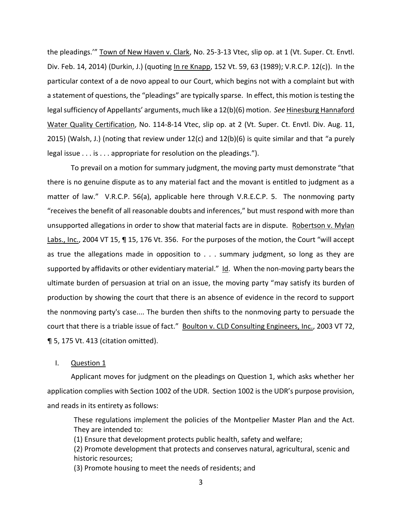the pleadings.'" Town of New Haven v. Clark, No. 25-3-13 Vtec, slip op. at 1 (Vt. Super. Ct. Envtl. Div. Feb. 14, 2014) (Durkin, J.) (quoting In re Knapp, 152 Vt. 59, 63 (1989); V.R.C.P. 12(c)). In the particular context of a de novo appeal to our Court, which begins not with a complaint but with a statement of questions, the "pleadings" are typically sparse. In effect, this motion is testing the legal sufficiency of Appellants' arguments, much like a 12(b)(6) motion. *See* Hinesburg Hannaford Water Quality Certification, No. 114-8-14 Vtec, slip op. at 2 (Vt. Super. Ct. Envtl. Div. Aug. 11, 2015) (Walsh, J.) (noting that review under 12(c) and 12(b)(6) is quite similar and that "a purely legal issue . . . is . . . appropriate for resolution on the pleadings.").

To prevail on a motion for summary judgment, the moving party must demonstrate "that there is no genuine dispute as to any material fact and the movant is entitled to judgment as a matter of law." V.R.C.P. 56(a), applicable here through V.R.E.C.P. 5. The nonmoving party "receives the benefit of all reasonable doubts and inferences," but must respond with more than unsupported allegations in order to show that material facts are in dispute. Robertson v. Mylan Labs., Inc., 2004 VT 15, ¶ 15, 176 Vt. 356. For the purposes of the motion, the Court "will accept as true the allegations made in opposition to . . . summary judgment, so long as they are supported by affidavits or other evidentiary material." Id. When the non-moving party bears the ultimate burden of persuasion at trial on an issue, the moving party "may satisfy its burden of production by showing the court that there is an absence of evidence in the record to support the nonmoving party's case.... The burden then shifts to the nonmoving party to persuade the court that there is a triable issue of fact." Boulton v. CLD Consulting Engineers, Inc., 2003 VT 72, ¶ 5, 175 Vt. 413 (citation omitted).

I. Question 1

Applicant moves for judgment on the pleadings on Question 1, which asks whether her application complies with Section 1002 of the UDR. Section 1002 is the UDR's purpose provision, and reads in its entirety as follows:

These regulations implement the policies of the Montpelier Master Plan and the Act. They are intended to:

(1) Ensure that development protects public health, safety and welfare;

(2) Promote development that protects and conserves natural, agricultural, scenic and historic resources;

(3) Promote housing to meet the needs of residents; and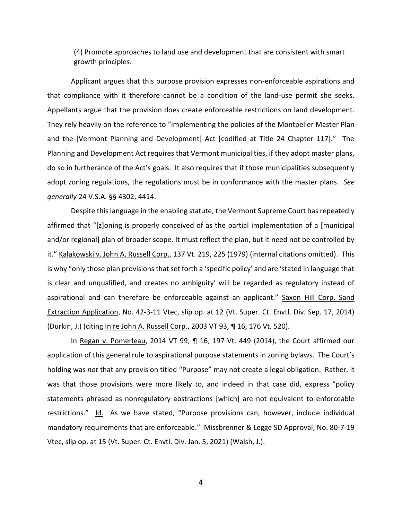(4) Promote approaches to land use and development that are consistent with smart growth principles.

Applicant argues that this purpose provision expresses non-enforceable aspirations and that compliance with it therefore cannot be a condition of the land-use permit she seeks. Appellants argue that the provision does create enforceable restrictions on land development. They rely heavily on the reference to "implementing the policies of the Montpelier Master Plan and the [Vermont Planning and Development] Act [codified at Title 24 Chapter 117]." The Planning and Development Act requires that Vermont municipalities, if they adopt master plans, do so in furtherance of the Act's goals. It also requires that if those municipalities subsequently adopt zoning regulations, the regulations must be in conformance with the master plans. *See generally* 24 V.S.A. §§ 4302, 4414.

Despite this language in the enabling statute, the Vermont Supreme Court has repeatedly affirmed that "[z]oning is properly conceived of as the partial implementation of a [municipal and/or regional] plan of broader scope. It must reflect the plan, but it need not be controlled by it." Kalakowski v. John A. Russell Corp., 137 Vt. 219, 225 (1979) (internal citations omitted). This is why "only those plan provisions that set forth a 'specific policy' and are 'stated in language that is clear and unqualified, and creates no ambiguity' will be regarded as regulatory instead of aspirational and can therefore be enforceable against an applicant." Saxon Hill Corp. Sand Extraction Application, No. 42-3-11 Vtec, slip op. at 12 (Vt. Super. Ct. Envtl. Div. Sep. 17, 2014) (Durkin, J.) (citing In re John A. Russell Corp., 2003 VT 93, ¶ 16, 176 Vt. 520).

In Regan v. Pomerleau, 2014 VT 99, ¶ 16, 197 Vt. 449 (2014), the Court affirmed our application of this general rule to aspirational purpose statements in zoning bylaws. The Court's holding was *not* that any provision titled "Purpose" may not create a legal obligation. Rather, it was that those provisions were more likely to, and indeed in that case did, express "policy statements phrased as nonregulatory abstractions [which] are not equivalent to enforceable restrictions." Id. As we have stated, "Purpose provisions can, however, include individual mandatory requirements that are enforceable." Missbrenner & Legge SD Approval, No. 80-7-19 Vtec, slip op. at 15 (Vt. Super. Ct. Envtl. Div. Jan. 5, 2021) (Walsh, J.).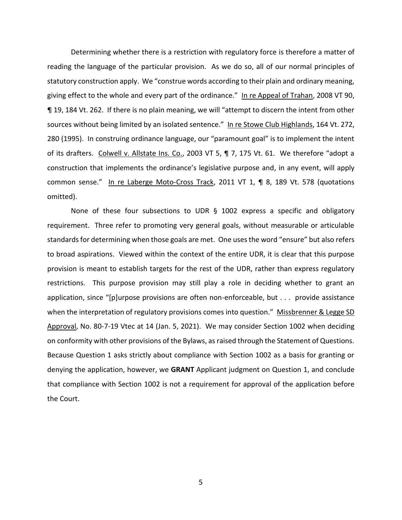Determining whether there is a restriction with regulatory force is therefore a matter of reading the language of the particular provision. As we do so, all of our normal principles of statutory construction apply. We "construe words according to their plain and ordinary meaning, giving effect to the whole and every part of the ordinance." In re Appeal of Trahan, 2008 VT 90, ¶ 19, 184 Vt. 262. If there is no plain meaning, we will "attempt to discern the intent from other sources without being limited by an isolated sentence." In re Stowe Club Highlands, 164 Vt. 272, 280 (1995). In construing ordinance language, our "paramount goal" is to implement the intent of its drafters. Colwell v. Allstate Ins. Co., 2003 VT 5, ¶ 7, 175 Vt. 61. We therefore "adopt a construction that implements the ordinance's legislative purpose and, in any event, will apply common sense." In re Laberge Moto-Cross Track, 2011 VT 1, ¶ 8, 189 Vt. 578 (quotations omitted).

None of these four subsections to UDR  $\S$  1002 express a specific and obligatory requirement. Three refer to promoting very general goals, without measurable or articulable standards for determining when those goals are met. One uses the word "ensure" but also refers to broad aspirations. Viewed within the context of the entire UDR, it is clear that this purpose provision is meant to establish targets for the rest of the UDR, rather than express regulatory restrictions. This purpose provision may still play a role in deciding whether to grant an application, since "[p]urpose provisions are often non-enforceable, but . . . provide assistance when the interpretation of regulatory provisions comes into question." Missbrenner & Legge SD Approval, No. 80-7-19 Vtec at 14 (Jan. 5, 2021). We may consider Section 1002 when deciding on conformity with other provisions of the Bylaws, as raised through the Statement of Questions. Because Question 1 asks strictly about compliance with Section 1002 as a basis for granting or denying the application, however, we **GRANT** Applicant judgment on Question 1, and conclude that compliance with Section 1002 is not a requirement for approval of the application before the Court.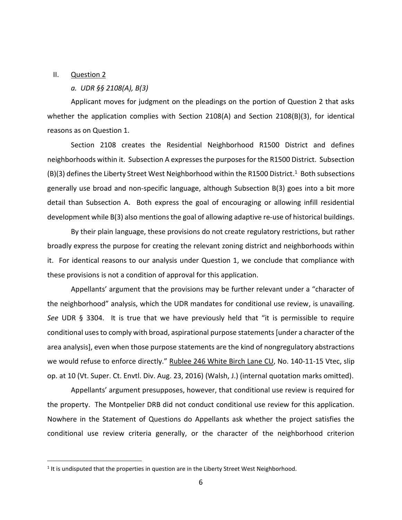#### II. Question 2

## *a. UDR §§ 2108(A), B(3)*

Applicant moves for judgment on the pleadings on the portion of Question 2 that asks whether the application complies with Section 2108(A) and Section 2108(B)(3), for identical reasons as on Question 1.

Section 2108 creates the Residential Neighborhood R1500 District and defines neighborhoods within it. Subsection A expresses the purposesfor the R1500 District. Subsection  $(B)(3)$  defines the Liberty Street West Neighborhood within the R1500 District.<sup>1</sup> Both subsections generally use broad and non-specific language, although Subsection B(3) goes into a bit more detail than Subsection A. Both express the goal of encouraging or allowing infill residential development while B(3) also mentions the goal of allowing adaptive re-use of historical buildings.

By their plain language, these provisions do not create regulatory restrictions, but rather broadly express the purpose for creating the relevant zoning district and neighborhoods within it. For identical reasons to our analysis under Question 1, we conclude that compliance with these provisions is not a condition of approval for this application.

Appellants' argument that the provisions may be further relevant under a "character of the neighborhood" analysis, which the UDR mandates for conditional use review, is unavailing. *See* UDR § 3304. It is true that we have previously held that "it is permissible to require conditional uses to comply with broad, aspirational purpose statements [under a character of the area analysis], even when those purpose statements are the kind of nongregulatory abstractions we would refuse to enforce directly." Rublee 246 White Birch Lane CU, No. 140-11-15 Vtec, slip op. at 10 (Vt. Super. Ct. Envtl. Div. Aug. 23, 2016) (Walsh, J.) (internal quotation marks omitted).

Appellants' argument presupposes, however, that conditional use review is required for the property. The Montpelier DRB did not conduct conditional use review for this application. Nowhere in the Statement of Questions do Appellants ask whether the project satisfies the conditional use review criteria generally, or the character of the neighborhood criterion

 $<sup>1</sup>$  It is undisputed that the properties in question are in the Liberty Street West Neighborhood.</sup>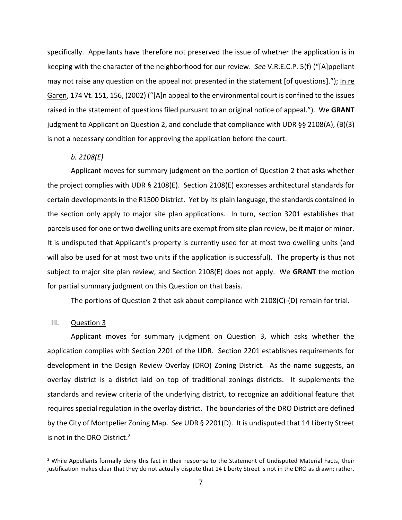specifically. Appellants have therefore not preserved the issue of whether the application is in keeping with the character of the neighborhood for our review. *See* V.R.E.C.P. 5(f) ("[A]ppellant may not raise any question on the appeal not presented in the statement [of questions]."); In re Garen, 174 Vt. 151, 156, (2002) ("[A]n appeal to the environmental court is confined to the issues raised in the statement of questions filed pursuant to an original notice of appeal."). We **GRANT** judgment to Applicant on Question 2, and conclude that compliance with UDR §§ 2108(A), (B)(3) is not a necessary condition for approving the application before the court.

# *b. 2108(E)*

Applicant moves for summary judgment on the portion of Question 2 that asks whether the project complies with UDR § 2108(E). Section 2108(E) expresses architectural standards for certain developments in the R1500 District. Yet by its plain language, the standards contained in the section only apply to major site plan applications. In turn, section 3201 establishes that parcels used for one or two dwelling units are exempt from site plan review, be it major or minor. It is undisputed that Applicant's property is currently used for at most two dwelling units (and will also be used for at most two units if the application is successful). The property is thus not subject to major site plan review, and Section 2108(E) does not apply. We **GRANT** the motion for partial summary judgment on this Question on that basis.

The portions of Question 2 that ask about compliance with 2108(C)-(D) remain for trial.

# III. Question 3

Applicant moves for summary judgment on Question 3, which asks whether the application complies with Section 2201 of the UDR. Section 2201 establishes requirements for development in the Design Review Overlay (DRO) Zoning District. As the name suggests, an overlay district is a district laid on top of traditional zonings districts. It supplements the standards and review criteria of the underlying district, to recognize an additional feature that requires special regulation in the overlay district. The boundaries of the DRO District are defined by the City of Montpelier Zoning Map. *See* UDR § 2201(D). It is undisputed that 14 Liberty Street is not in the DRO District.<sup>2</sup>

 $<sup>2</sup>$  While Appellants formally deny this fact in their response to the Statement of Undisputed Material Facts, their</sup> justification makes clear that they do not actually dispute that 14 Liberty Street is not in the DRO as drawn; rather,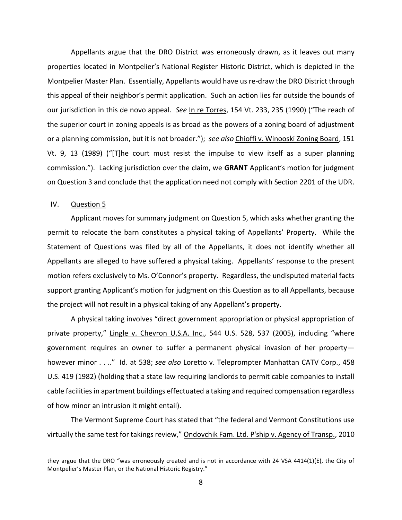Appellants argue that the DRO District was erroneously drawn, as it leaves out many properties located in Montpelier's National Register Historic District, which is depicted in the Montpelier Master Plan. Essentially, Appellants would have us re-draw the DRO District through this appeal of their neighbor's permit application. Such an action lies far outside the bounds of our jurisdiction in this de novo appeal. *See* In re Torres, 154 Vt. 233, 235 (1990) ("The reach of the superior court in zoning appeals is as broad as the powers of a zoning board of adjustment or a planning commission, but it is not broader."); *see also* Chioffi v. Winooski Zoning Board, 151 Vt. 9, 13 (1989) ("[T]he court must resist the impulse to view itself as a super planning commission."). Lacking jurisdiction over the claim, we **GRANT** Applicant's motion for judgment on Question 3 and conclude that the application need not comply with Section 2201 of the UDR.

# IV. Question 5

Applicant moves for summary judgment on Question 5, which asks whether granting the permit to relocate the barn constitutes a physical taking of Appellants' Property. While the Statement of Questions was filed by all of the Appellants, it does not identify whether all Appellants are alleged to have suffered a physical taking. Appellants' response to the present motion refers exclusively to Ms. O'Connor's property. Regardless, the undisputed material facts support granting Applicant's motion for judgment on this Question as to all Appellants, because the project will not result in a physical taking of any Appellant's property.

A physical taking involves "direct government appropriation or physical appropriation of private property," Lingle v. Chevron U.S.A. Inc., 544 U.S. 528, 537 (2005), including "where government requires an owner to suffer a permanent physical invasion of her property however minor . . .." Id. at 538; *see also* Loretto v. Teleprompter Manhattan CATV Corp., 458 U.S. 419 (1982) (holding that a state law requiring landlords to permit cable companies to install cable facilities in apartment buildings effectuated a taking and required compensation regardless of how minor an intrusion it might entail).

The Vermont Supreme Court has stated that "the federal and Vermont Constitutions use virtually the same test for takings review," Ondovchik Fam. Ltd. P'ship v. Agency of Transp., 2010

they argue that the DRO "was erroneously created and is not in accordance with 24 VSA 4414(1)(E), the City of Montpelier's Master Plan, or the National Historic Registry."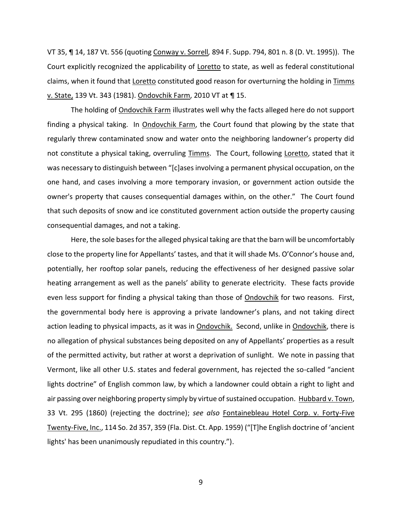VT 35, ¶ 14, 187 Vt. 556 (quoting Conway v. Sorrell*,* 894 F. Supp. 794, 801 n. 8 (D. Vt. 1995)). The Court explicitly recognized the applicability of Loretto to state, as well as federal constitutional claims, when it found that Loretto constituted good reason for overturning the holding in Timms v. State, 139 Vt. 343 (1981). Ondovchik Farm, 2010 VT at ¶ 15.

The holding of Ondovchik Farm illustrates well why the facts alleged here do not support finding a physical taking. In Ondovchik Farm, the Court found that plowing by the state that regularly threw contaminated snow and water onto the neighboring landowner's property did not constitute a physical taking, overruling Timms. The Court, following Loretto, stated that it was necessary to distinguish between "[c]ases involving a permanent physical occupation, on the one hand, and cases involving a more temporary invasion, or government action outside the owner's property that causes consequential damages within, on the other." The Court found that such deposits of snow and ice constituted government action outside the property causing consequential damages, and not a taking.

 Here, the sole bases for the alleged physical taking are that the barn will be uncomfortably close to the property line for Appellants' tastes, and that it will shade Ms. O'Connor's house and, potentially, her rooftop solar panels, reducing the effectiveness of her designed passive solar heating arrangement as well as the panels' ability to generate electricity. These facts provide even less support for finding a physical taking than those of Ondovchik for two reasons. First, the governmental body here is approving a private landowner's plans, and not taking direct action leading to physical impacts, as it was in **Ondovchik.** Second, unlike in **Ondovchik**, there is no allegation of physical substances being deposited on any of Appellants' properties as a result of the permitted activity, but rather at worst a deprivation of sunlight. We note in passing that Vermont, like all other U.S. states and federal government, has rejected the so-called "ancient lights doctrine" of English common law, by which a landowner could obtain a right to light and air passing over neighboring property simply by virtue of sustained occupation. Hubbard v. Town, 33 Vt. 295 (1860) (rejecting the doctrine); *see also* Fontainebleau Hotel Corp. v. Forty-Five Twenty-Five, Inc., 114 So. 2d 357, 359 (Fla. Dist. Ct. App. 1959) ("[T]he English doctrine of 'ancient lights' has been unanimously repudiated in this country.").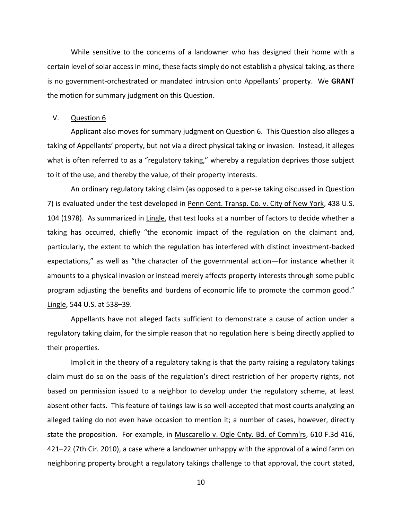While sensitive to the concerns of a landowner who has designed their home with a certain level of solar access in mind, these facts simply do not establish a physical taking, as there is no government-orchestrated or mandated intrusion onto Appellants' property. We **GRANT**  the motion for summary judgment on this Question.

## V. Question 6

Applicant also moves for summary judgment on Question 6. This Question also alleges a taking of Appellants' property, but not via a direct physical taking or invasion. Instead, it alleges what is often referred to as a "regulatory taking," whereby a regulation deprives those subject to it of the use, and thereby the value, of their property interests.

An ordinary regulatory taking claim (as opposed to a per-se taking discussed in Question 7) is evaluated under the test developed in Penn Cent. Transp. Co. v. City of New York, 438 U.S. 104 (1978). As summarized in Lingle, that test looks at a number of factors to decide whether a taking has occurred, chiefly "the economic impact of the regulation on the claimant and, particularly, the extent to which the regulation has interfered with distinct investment-backed expectations," as well as "the character of the governmental action—for instance whether it amounts to a physical invasion or instead merely affects property interests through some public program adjusting the benefits and burdens of economic life to promote the common good." Lingle, 544 U.S. at 538–39.

Appellants have not alleged facts sufficient to demonstrate a cause of action under a regulatory taking claim, for the simple reason that no regulation here is being directly applied to their properties.

Implicit in the theory of a regulatory taking is that the party raising a regulatory takings claim must do so on the basis of the regulation's direct restriction of her property rights, not based on permission issued to a neighbor to develop under the regulatory scheme, at least absent other facts. This feature of takings law is so well-accepted that most courts analyzing an alleged taking do not even have occasion to mention it; a number of cases, however, directly state the proposition. For example, in Muscarello v. Ogle Cnty. Bd. of Comm'rs, 610 F.3d 416, 421–22 (7th Cir. 2010), a case where a landowner unhappy with the approval of a wind farm on neighboring property brought a regulatory takings challenge to that approval, the court stated,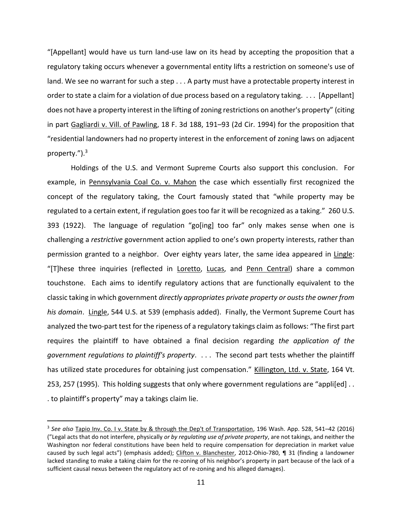"[Appellant] would have us turn land-use law on its head by accepting the proposition that a regulatory taking occurs whenever a governmental entity lifts a restriction on someone's use of land. We see no warrant for such a step . . . A party must have a protectable property interest in order to state a claim for a violation of due process based on a regulatory taking. . . . [Appellant] does not have a property interest in the lifting of zoning restrictions on another's property" (citing in part Gagliardi v. Vill. of Pawling, 18 F. 3d 188, 191–93 (2d Cir. 1994) for the proposition that "residential landowners had no property interest in the enforcement of zoning laws on adjacent property.").<sup>3</sup>

Holdings of the U.S. and Vermont Supreme Courts also support this conclusion. For example, in Pennsylvania Coal Co. v. Mahon the case which essentially first recognized the concept of the regulatory taking, the Court famously stated that "while property may be regulated to a certain extent, if regulation goes too far it will be recognized as a taking." 260 U.S. 393 (1922). The language of regulation "go[ing] too far" only makes sense when one is challenging a *restrictive* government action applied to one's own property interests, rather than permission granted to a neighbor. Over eighty years later, the same idea appeared in Lingle: "[T]hese three inquiries (reflected in Loretto, Lucas, and Penn Central) share a common touchstone. Each aims to identify regulatory actions that are functionally equivalent to the classic taking in which government *directly appropriates private property or ousts the owner from his domain*. Lingle, 544 U.S. at 539 (emphasis added). Finally, the Vermont Supreme Court has analyzed the two-part test for the ripeness of a regulatory takings claim as follows: "The first part requires the plaintiff to have obtained a final decision regarding *the application of the government regulations to plaintiff's property*. . . . The second part tests whether the plaintiff has utilized state procedures for obtaining just compensation." Killington, Ltd. v. State, 164 Vt. 253, 257 (1995). This holding suggests that only where government regulations are "appli[ed].. . to plaintiff's property" may a takings claim lie.

<sup>3</sup> *See also* Tapio Inv. Co. I v. State by & through the Dep't of Transportation, 196 Wash. App. 528, 541–42 (2016) ("Legal acts that do not interfere, physically *or by regulating use of private property*, are not takings, and neither the Washington nor federal constitutions have been held to require compensation for depreciation in market value caused by such legal acts") (emphasis added); Clifton v. Blanchester, 2012-Ohio-780, ¶ 31 (finding a landowner lacked standing to make a taking claim for the re-zoning of his neighbor's property in part because of the lack of a sufficient causal nexus between the regulatory act of re-zoning and his alleged damages).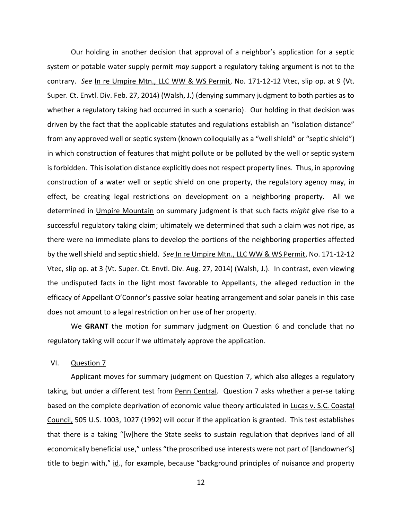Our holding in another decision that approval of a neighbor's application for a septic system or potable water supply permit *may* support a regulatory taking argument is not to the contrary. *See* In re Umpire Mtn., LLC WW & WS Permit, No. 171-12-12 Vtec, slip op. at 9 (Vt. Super. Ct. Envtl. Div. Feb. 27, 2014) (Walsh, J.) (denying summary judgment to both parties as to whether a regulatory taking had occurred in such a scenario). Our holding in that decision was driven by the fact that the applicable statutes and regulations establish an "isolation distance" from any approved well or septic system (known colloquially as a "well shield" or "septic shield") in which construction of features that might pollute or be polluted by the well or septic system is forbidden. This isolation distance explicitly does not respect property lines. Thus, in approving construction of a water well or septic shield on one property, the regulatory agency may, in effect, be creating legal restrictions on development on a neighboring property. All we determined in Umpire Mountain on summary judgment is that such facts *might* give rise to a successful regulatory taking claim; ultimately we determined that such a claim was not ripe, as there were no immediate plans to develop the portions of the neighboring properties affected by the well shield and septic shield. *See* In re Umpire Mtn., LLC WW & WS Permit, No. 171-12-12 Vtec, slip op. at 3 (Vt. Super. Ct. Envtl. Div. Aug. 27, 2014) (Walsh, J.). In contrast, even viewing the undisputed facts in the light most favorable to Appellants, the alleged reduction in the efficacy of Appellant O'Connor's passive solar heating arrangement and solar panels in this case does not amount to a legal restriction on her use of her property.

We **GRANT** the motion for summary judgment on Question 6 and conclude that no regulatory taking will occur if we ultimately approve the application.

VI. Question 7

Applicant moves for summary judgment on Question 7, which also alleges a regulatory taking, but under a different test from Penn Central. Question 7 asks whether a per-se taking based on the complete deprivation of economic value theory articulated in Lucas v. S.C. Coastal Council, 505 U.S. 1003, 1027 (1992) will occur if the application is granted. This test establishes that there is a taking "[w]here the State seeks to sustain regulation that deprives land of all economically beneficial use," unless "the proscribed use interests were not part of [landowner's] title to begin with," id., for example, because "background principles of nuisance and property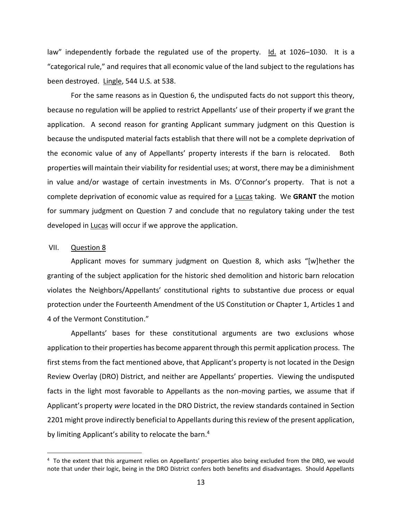law" independently forbade the regulated use of the property. Id. at 1026–1030. It is a "categorical rule," and requires that all economic value of the land subject to the regulations has been destroyed. Lingle, 544 U.S. at 538.

For the same reasons as in Question 6, the undisputed facts do not support this theory, because no regulation will be applied to restrict Appellants' use of their property if we grant the application. A second reason for granting Applicant summary judgment on this Question is because the undisputed material facts establish that there will not be a complete deprivation of the economic value of any of Appellants' property interests if the barn is relocated. Both properties will maintain their viability for residential uses; at worst, there may be a diminishment in value and/or wastage of certain investments in Ms. O'Connor's property. That is not a complete deprivation of economic value as required for a Lucas taking. We **GRANT** the motion for summary judgment on Question 7 and conclude that no regulatory taking under the test developed in Lucas will occur if we approve the application.

## VII. Question 8

Applicant moves for summary judgment on Question 8, which asks "[w]hether the granting of the subject application for the historic shed demolition and historic barn relocation violates the Neighbors/Appellants' constitutional rights to substantive due process or equal protection under the Fourteenth Amendment of the US Constitution or Chapter 1, Articles 1 and 4 of the Vermont Constitution."

Appellants' bases for these constitutional arguments are two exclusions whose application to their properties has become apparent through this permit application process. The first stems from the fact mentioned above, that Applicant's property is not located in the Design Review Overlay (DRO) District, and neither are Appellants' properties. Viewing the undisputed facts in the light most favorable to Appellants as the non-moving parties, we assume that if Applicant's property *were* located in the DRO District, the review standards contained in Section 2201 might prove indirectly beneficial to Appellants during this review of the present application, by limiting Applicant's ability to relocate the barn.<sup>4</sup>

<sup>&</sup>lt;sup>4</sup> To the extent that this argument relies on Appellants' properties also being excluded from the DRO, we would note that under their logic, being in the DRO District confers both benefits and disadvantages. Should Appellants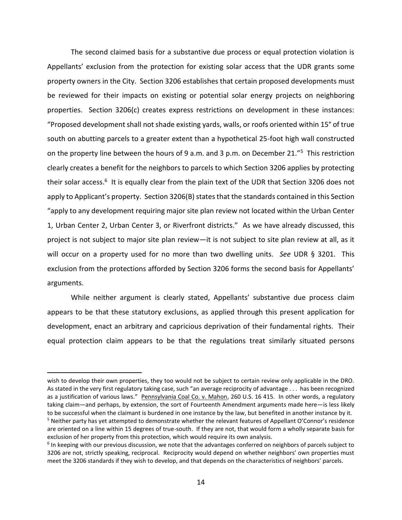The second claimed basis for a substantive due process or equal protection violation is Appellants' exclusion from the protection for existing solar access that the UDR grants some property owners in the City. Section 3206 establishes that certain proposed developments must be reviewed for their impacts on existing or potential solar energy projects on neighboring properties. Section 3206(c) creates express restrictions on development in these instances: "Proposed development shall not shade existing yards, walls, or roofs oriented within 15° of true south on abutting parcels to a greater extent than a hypothetical 25-foot high wall constructed on the property line between the hours of 9 a.m. and 3 p.m. on December 21."<sup>5</sup> This restriction clearly creates a benefit for the neighbors to parcels to which Section 3206 applies by protecting their solar access.<sup>6</sup> It is equally clear from the plain text of the UDR that Section 3206 does not apply to Applicant's property. Section 3206(B) states that the standards contained in this Section "apply to any development requiring major site plan review not located within the Urban Center 1, Urban Center 2, Urban Center 3, or Riverfront districts." As we have already discussed, this project is not subject to major site plan review—it is not subject to site plan review at all, as it will occur on a property used for no more than two dwelling units. *See* UDR § 3201. This exclusion from the protections afforded by Section 3206 forms the second basis for Appellants' arguments.

While neither argument is clearly stated, Appellants' substantive due process claim appears to be that these statutory exclusions, as applied through this present application for development, enact an arbitrary and capricious deprivation of their fundamental rights. Their equal protection claim appears to be that the regulations treat similarly situated persons

wish to develop their own properties, they too would not be subject to certain review only applicable in the DRO. As stated in the very first regulatory taking case, such "an average reciprocity of advantage . . . has been recognized as a justification of various laws." Pennsylvania Coal Co. v. Mahon, 260 U.S. 16 415. In other words, a regulatory taking claim—and perhaps, by extension, the sort of Fourteenth Amendment arguments made here—is less likely to be successful when the claimant is burdened in one instance by the law, but benefited in another instance by it. <sup>5</sup> Neither party has yet attempted to demonstrate whether the relevant features of Appellant O'Connor's residence are oriented on a line within 15 degrees of true-south. If they are not, that would form a wholly separate basis for exclusion of her property from this protection, which would require its own analysis.

<sup>&</sup>lt;sup>6</sup> In keeping with our previous discussion, we note that the advantages conferred on neighbors of parcels subject to 3206 are not, strictly speaking, reciprocal. Reciprocity would depend on whether neighbors' own properties must meet the 3206 standards if they wish to develop, and that depends on the characteristics of neighbors' parcels.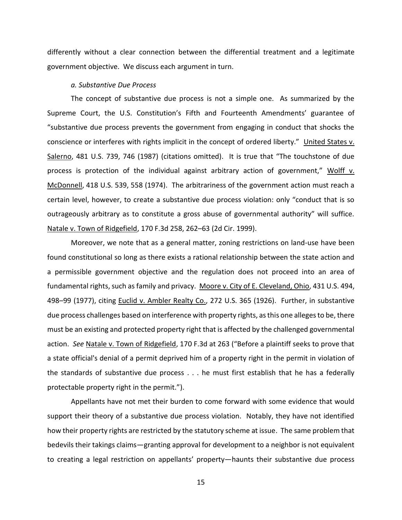differently without a clear connection between the differential treatment and a legitimate government objective. We discuss each argument in turn.

#### *a. Substantive Due Process*

The concept of substantive due process is not a simple one. As summarized by the Supreme Court, the U.S. Constitution's Fifth and Fourteenth Amendments' guarantee of "substantive due process prevents the government from engaging in conduct that shocks the conscience or interferes with rights implicit in the concept of ordered liberty." United States v. Salerno, 481 U.S. 739, 746 (1987) (citations omitted). It is true that "The touchstone of due process is protection of the individual against arbitrary action of government," Wolff v. McDonnell, 418 U.S. 539, 558 (1974). The arbitrariness of the government action must reach a certain level, however, to create a substantive due process violation: only "conduct that is so outrageously arbitrary as to constitute a gross abuse of governmental authority" will suffice. Natale v. Town of Ridgefield, 170 F.3d 258, 262–63 (2d Cir. 1999).

Moreover, we note that as a general matter, zoning restrictions on land-use have been found constitutional so long as there exists a rational relationship between the state action and a permissible government objective and the regulation does not proceed into an area of fundamental rights, such as family and privacy. Moore v. City of E. Cleveland, Ohio, 431 U.S. 494, 498–99 (1977), citing Euclid v. Ambler Realty Co., 272 U.S. 365 (1926). Further, in substantive due process challenges based on interference with property rights, as this one alleges to be, there must be an existing and protected property right that is affected by the challenged governmental action. *See* Natale v. Town of Ridgefield, 170 F.3d at 263 ("Before a plaintiff seeks to prove that a state official's denial of a permit deprived him of a property right in the permit in violation of the standards of substantive due process . . . he must first establish that he has a federally protectable property right in the permit.").

Appellants have not met their burden to come forward with some evidence that would support their theory of a substantive due process violation. Notably, they have not identified how their property rights are restricted by the statutory scheme at issue. The same problem that bedevils their takings claims—granting approval for development to a neighbor is not equivalent to creating a legal restriction on appellants' property—haunts their substantive due process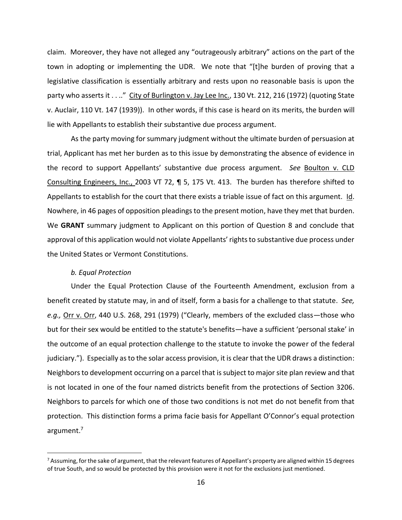claim. Moreover, they have not alleged any "outrageously arbitrary" actions on the part of the town in adopting or implementing the UDR. We note that "[t]he burden of proving that a legislative classification is essentially arbitrary and rests upon no reasonable basis is upon the party who asserts it . . .." City of Burlington v. Jay Lee Inc., 130 Vt. 212, 216 (1972) (quoting State v. Auclair, 110 Vt. 147 (1939)). In other words, if this case is heard on its merits, the burden will lie with Appellants to establish their substantive due process argument.

As the party moving for summary judgment without the ultimate burden of persuasion at trial, Applicant has met her burden as to this issue by demonstrating the absence of evidence in the record to support Appellants' substantive due process argument. *See* Boulton v. CLD Consulting Engineers, Inc., 2003 VT 72, ¶ 5, 175 Vt. 413. The burden has therefore shifted to Appellants to establish for the court that there exists a triable issue of fact on this argument. Id. Nowhere, in 46 pages of opposition pleadings to the present motion, have they met that burden. We **GRANT** summary judgment to Applicant on this portion of Question 8 and conclude that approval of this application would not violate Appellants' rights to substantive due process under the United States or Vermont Constitutions.

## *b. Equal Protection*

Under the Equal Protection Clause of the Fourteenth Amendment, exclusion from a benefit created by statute may, in and of itself, form a basis for a challenge to that statute. *See, e.g.,* Orr v. Orr, 440 U.S. 268, 291 (1979) ("Clearly, members of the excluded class—those who but for their sex would be entitled to the statute's benefits—have a sufficient 'personal stake' in the outcome of an equal protection challenge to the statute to invoke the power of the federal judiciary."). Especially as to the solar access provision, it is clear that the UDR draws a distinction: Neighbors to development occurring on a parcel that issubject to major site plan review and that is not located in one of the four named districts benefit from the protections of Section 3206. Neighbors to parcels for which one of those two conditions is not met do not benefit from that protection. This distinction forms a prima facie basis for Appellant O'Connor's equal protection argument.<sup>7</sup>

 $^7$  Assuming, for the sake of argument, that the relevant features of Appellant's property are aligned within 15 degrees of true South, and so would be protected by this provision were it not for the exclusions just mentioned.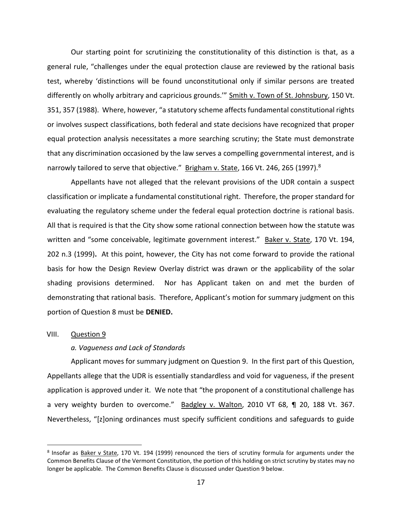Our starting point for scrutinizing the constitutionality of this distinction is that, as a general rule, "challenges under the equal protection clause are reviewed by the rational basis test, whereby 'distinctions will be found unconstitutional only if similar persons are treated differently on wholly arbitrary and capricious grounds.'" Smith v. Town of St. Johnsbury, 150 Vt. 351, 357 (1988). Where, however, "a statutory scheme affects fundamental constitutional rights or involves suspect classifications, both federal and state decisions have recognized that proper equal protection analysis necessitates a more searching scrutiny; the State must demonstrate that any discrimination occasioned by the law serves a compelling governmental interest, and is narrowly tailored to serve that objective." Brigham v. State, 166 Vt. 246, 265 (1997).<sup>8</sup>

Appellants have not alleged that the relevant provisions of the UDR contain a suspect classification or implicate a fundamental constitutional right. Therefore, the proper standard for evaluating the regulatory scheme under the federal equal protection doctrine is rational basis. All that is required is that the City show some rational connection between how the statute was written and "some conceivable, legitimate government interest."Baker v. State, 170 Vt. 194, 202 n.3 (1999)**.** At this point, however, the City has not come forward to provide the rational basis for how the Design Review Overlay district was drawn or the applicability of the solar shading provisions determined. Nor has Applicant taken on and met the burden of demonstrating that rational basis. Therefore, Applicant's motion for summary judgment on this portion of Question 8 must be **DENIED.**

#### VIII. Question 9

## *a. Vagueness and Lack of Standards*

Applicant moves for summary judgment on Question 9. In the first part of this Question, Appellants allege that the UDR is essentially standardless and void for vagueness, if the present application is approved under it. We note that "the proponent of a constitutional challenge has a very weighty burden to overcome." Badgley v. Walton, 2010 VT 68, ¶ 20, 188 Vt. 367. Nevertheless, "[z]oning ordinances must specify sufficient conditions and safeguards to guide

<sup>&</sup>lt;sup>8</sup> Insofar as Baker v State, 170 Vt. 194 (1999) renounced the tiers of scrutiny formula for arguments under the Common Benefits Clause of the Vermont Constitution, the portion of this holding on strict scrutiny by states may no longer be applicable. The Common Benefits Clause is discussed under Question 9 below.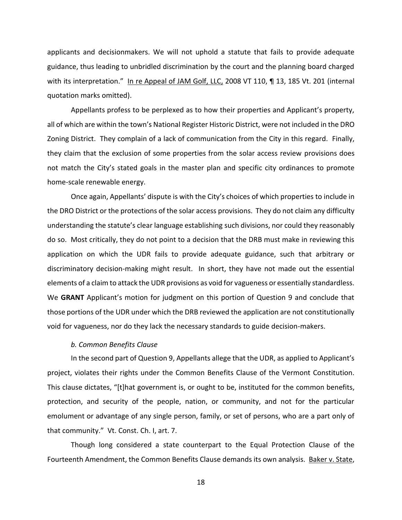applicants and decisionmakers. We will not uphold a statute that fails to provide adequate guidance, thus leading to unbridled discrimination by the court and the planning board charged with its interpretation." In re Appeal of JAM Golf, LLC, 2008 VT 110, ¶ 13, 185 Vt. 201 (internal quotation marks omitted).

Appellants profess to be perplexed as to how their properties and Applicant's property, all of which are within the town's National Register Historic District, were not included in the DRO Zoning District. They complain of a lack of communication from the City in this regard. Finally, they claim that the exclusion of some properties from the solar access review provisions does not match the City's stated goals in the master plan and specific city ordinances to promote home-scale renewable energy.

 Once again, Appellants' dispute is with the City's choices of which properties to include in the DRO District or the protections of the solar access provisions. They do not claim any difficulty understanding the statute's clear language establishing such divisions, nor could they reasonably do so. Most critically, they do not point to a decision that the DRB must make in reviewing this application on which the UDR fails to provide adequate guidance, such that arbitrary or discriminatory decision-making might result. In short, they have not made out the essential elements of a claim to attack the UDR provisions as void for vagueness or essentially standardless. We **GRANT** Applicant's motion for judgment on this portion of Question 9 and conclude that those portions of the UDR under which the DRB reviewed the application are not constitutionally void for vagueness, nor do they lack the necessary standards to guide decision-makers.

## *b. Common Benefits Clause*

In the second part of Question 9, Appellants allege that the UDR, as applied to Applicant's project, violates their rights under the Common Benefits Clause of the Vermont Constitution. This clause dictates, "[t]hat government is, or ought to be, instituted for the common benefits, protection, and security of the people, nation, or community, and not for the particular emolument or advantage of any single person, family, or set of persons, who are a part only of that community." Vt. Const. Ch. I, art. 7.

Though long considered a state counterpart to the Equal Protection Clause of the Fourteenth Amendment, the Common Benefits Clause demands its own analysis. Baker v. State,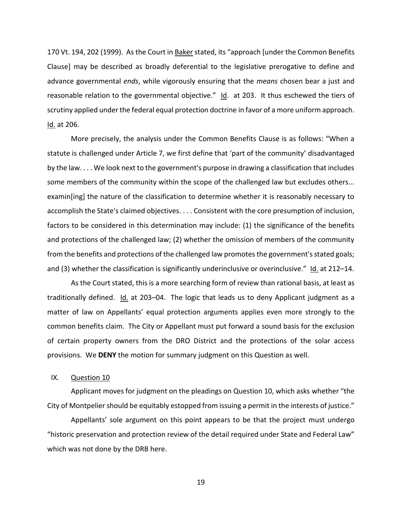170 Vt. 194, 202 (1999). As the Court in Baker stated, its "approach [under the Common Benefits Clause] may be described as broadly deferential to the legislative prerogative to define and advance governmental *ends*, while vigorously ensuring that the *means* chosen bear a just and reasonable relation to the governmental objective."  $Id.$  at 203. It thus eschewed the tiers of scrutiny applied under the federal equal protection doctrine in favor of a more uniform approach. Id. at 206.

More precisely, the analysis under the Common Benefits Clause is as follows: "When a statute is challenged under Article 7, we first define that 'part of the community' disadvantaged by the law. . . . We look next to the government's purpose in drawing a classification that includes some members of the community within the scope of the challenged law but excludes others... examin[ing] the nature of the classification to determine whether it is reasonably necessary to accomplish the State's claimed objectives. . . . Consistent with the core presumption of inclusion, factors to be considered in this determination may include: (1) the significance of the benefits and protections of the challenged law; (2) whether the omission of members of the community from the benefits and protections of the challenged law promotes the government's stated goals; and (3) whether the classification is significantly underinclusive or overinclusive." Id. at 212–14.

As the Court stated, this is a more searching form of review than rational basis, at least as traditionally defined. Id. at 203–04. The logic that leads us to deny Applicant judgment as a matter of law on Appellants' equal protection arguments applies even more strongly to the common benefits claim. The City or Appellant must put forward a sound basis for the exclusion of certain property owners from the DRO District and the protections of the solar access provisions. We **DENY** the motion for summary judgment on this Question as well.

# IX. Question 10

Applicant moves for judgment on the pleadings on Question 10, which asks whether "the City of Montpelier should be equitably estopped from issuing a permit in the interests of justice."

Appellants' sole argument on this point appears to be that the project must undergo "historic preservation and protection review of the detail required under State and Federal Law" which was not done by the DRB here.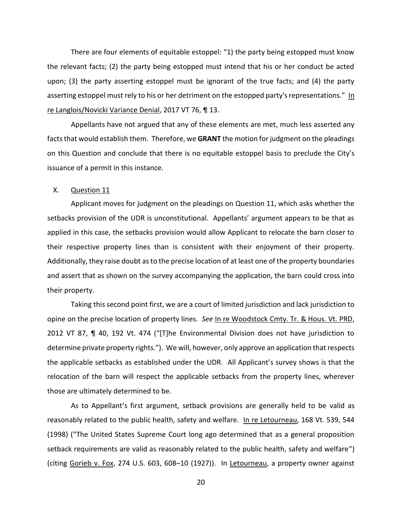There are four elements of equitable estoppel: "1) the party being estopped must know the relevant facts; (2) the party being estopped must intend that his or her conduct be acted upon; (3) the party asserting estoppel must be ignorant of the true facts; and (4) the party asserting estoppel must rely to his or her detriment on the estopped party's representations." In re Langlois/Novicki Variance Denial, 2017 VT 76, ¶ 13.

Appellants have not argued that any of these elements are met, much less asserted any facts that would establish them. Therefore, we **GRANT** the motion for judgment on the pleadings on this Question and conclude that there is no equitable estoppel basis to preclude the City's issuance of a permit in this instance.

#### X. Question 11

Applicant moves for judgment on the pleadings on Question 11, which asks whether the setbacks provision of the UDR is unconstitutional. Appellants' argument appears to be that as applied in this case, the setbacks provision would allow Applicant to relocate the barn closer to their respective property lines than is consistent with their enjoyment of their property. Additionally, they raise doubt as to the precise location of at least one of the property boundaries and assert that as shown on the survey accompanying the application, the barn could cross into their property.

Taking this second point first, we are a court of limited jurisdiction and lack jurisdiction to opine on the precise location of property lines. *See* In re Woodstock Cmty. Tr. & Hous. Vt. PRD, 2012 VT 87, ¶ 40, 192 Vt. 474 ("[T]he Environmental Division does not have jurisdiction to determine private property rights."). We will, however, only approve an application that respects the applicable setbacks as established under the UDR. All Applicant's survey shows is that the relocation of the barn will respect the applicable setbacks from the property lines, wherever those are ultimately determined to be.

As to Appellant's first argument, setback provisions are generally held to be valid as reasonably related to the public health, safety and welfare. In re Letourneau, 168 Vt. 539, 544 (1998) ("The United States Supreme Court long ago determined that as a general proposition setback requirements are valid as reasonably related to the public health, safety and welfare") (citing Gorieb v. Fox, 274 U.S. 603, 608–10 (1927)). In Letourneau, a property owner against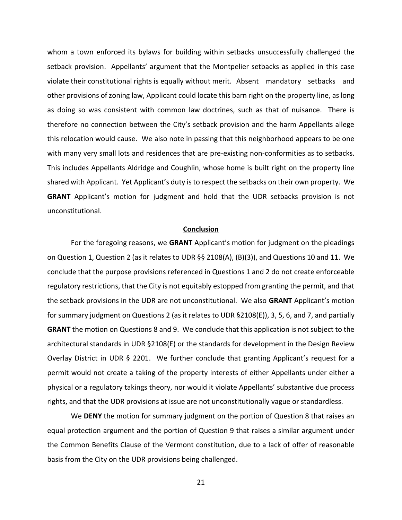whom a town enforced its bylaws for building within setbacks unsuccessfully challenged the setback provision. Appellants' argument that the Montpelier setbacks as applied in this case violate their constitutional rights is equally without merit. Absent mandatory setbacks and other provisions of zoning law, Applicant could locate this barn right on the property line, as long as doing so was consistent with common law doctrines, such as that of nuisance. There is therefore no connection between the City's setback provision and the harm Appellants allege this relocation would cause. We also note in passing that this neighborhood appears to be one with many very small lots and residences that are pre-existing non-conformities as to setbacks. This includes Appellants Aldridge and Coughlin, whose home is built right on the property line shared with Applicant. Yet Applicant's duty is to respect the setbacks on their own property. We **GRANT** Applicant's motion for judgment and hold that the UDR setbacks provision is not unconstitutional.

# **Conclusion**

For the foregoing reasons, we **GRANT** Applicant's motion for judgment on the pleadings on Question 1, Question 2 (as it relates to UDR §§ 2108(A), (B)(3)), and Questions 10 and 11. We conclude that the purpose provisions referenced in Questions 1 and 2 do not create enforceable regulatory restrictions, that the City is not equitably estopped from granting the permit, and that the setback provisions in the UDR are not unconstitutional. We also **GRANT** Applicant's motion for summary judgment on Questions 2 (as it relates to UDR §2108(E)), 3, 5, 6, and 7, and partially **GRANT** the motion on Questions 8 and 9. We conclude that this application is not subject to the architectural standards in UDR §2108(E) or the standards for development in the Design Review Overlay District in UDR § 2201. We further conclude that granting Applicant's request for a permit would not create a taking of the property interests of either Appellants under either a physical or a regulatory takings theory, nor would it violate Appellants' substantive due process rights, and that the UDR provisions at issue are not unconstitutionally vague or standardless.

We **DENY** the motion for summary judgment on the portion of Question 8 that raises an equal protection argument and the portion of Question 9 that raises a similar argument under the Common Benefits Clause of the Vermont constitution, due to a lack of offer of reasonable basis from the City on the UDR provisions being challenged.